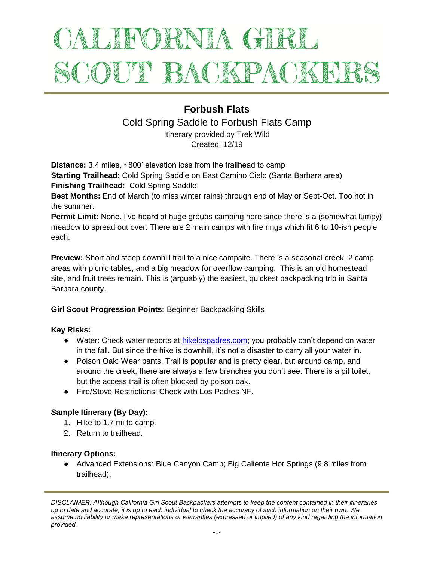# ALIFORNIA GIRL SCOUT BACKPACKET

# **Forbush Flats**

Cold Spring Saddle to Forbush Flats Camp

Itinerary provided by Trek Wild Created: 12/19

**Distance:** 3.4 miles, ~800' elevation loss from the trailhead to camp **Starting Trailhead:** Cold Spring Saddle on East Camino Cielo (Santa Barbara area) **Finishing Trailhead:** Cold Spring Saddle

**Best Months:** End of March (to miss winter rains) through end of May or Sept-Oct. Too hot in the summer.

**Permit Limit:** None. I've heard of huge groups camping here since there is a (somewhat lumpy) meadow to spread out over. There are 2 main camps with fire rings which fit 6 to 10-ish people each.

**Preview:** Short and steep downhill trail to a nice campsite. There is a seasonal creek, 2 camp areas with picnic tables, and a big meadow for overflow camping. This is an old homestead site, and fruit trees remain. This is (arguably) the easiest, quickest backpacking trip in Santa Barbara county.

# **Girl Scout Progression Points:** Beginner Backpacking Skills

# **Key Risks:**

- Water: Check water reports at [hikelospadres.com;](http://www.hikelospadres.com/) you probably can't depend on water in the fall. But since the hike is downhill, it's not a disaster to carry all your water in.
- Poison Oak: Wear pants. Trail is popular and is pretty clear, but around camp, and around the creek, there are always a few branches you don't see. There is a pit toilet, but the access trail is often blocked by poison oak.
- Fire/Stove Restrictions: Check with Los Padres NF.

# **Sample Itinerary (By Day):**

- 1. Hike to 1.7 mi to camp.
- 2. Return to trailhead.

# **Itinerary Options:**

● Advanced Extensions: Blue Canyon Camp; Big Caliente Hot Springs (9.8 miles from trailhead).

*DISCLAIMER: Although California Girl Scout Backpackers attempts to keep the content contained in their itineraries up to date and accurate, it is up to each individual to check the accuracy of such information on their own. We assume no liability or make representations or warranties (expressed or implied) of any kind regarding the information provided.*